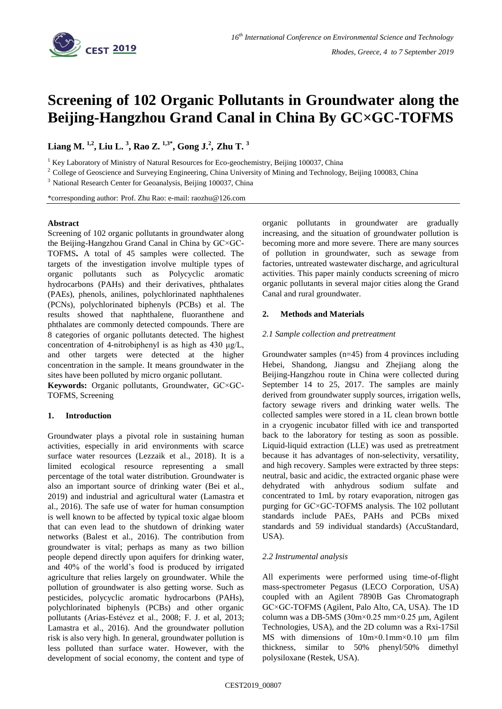

# **Screening of 102 Organic Pollutants in Groundwater along the Beijing-Hangzhou Grand Canal in China By GC×GC-TOFMS**

**Liang M. 1,2 , Liu L. <sup>3</sup> , Rao Z. 1,3\*, Gong J.<sup>2</sup> , Zhu T. <sup>3</sup>**

<sup>1</sup> Key Laboratory of Ministry of Natural Resources for Eco-geochemistry, Beijing 100037, China

<sup>2</sup> College of Geoscience and Surveying Engineering, China University of Mining and Technology, Beijing 100083, China

<sup>3</sup> National Research Center for Geoanalysis, Beijing 100037, China

\*corresponding author: Prof. Zhu Rao: e-mail: raozhu@126.com

## **Abstract**

Screening of 102 organic pollutants in groundwater along the Beijing-Hangzhou Grand Canal in China by GC×GC-TOFMS**.** A total of 45 samples were collected. The targets of the investigation involve multiple types of organic pollutants such as Polycyclic aromatic hydrocarbons (PAHs) and their derivatives, phthalates (PAEs), phenols, anilines, polychlorinated naphthalenes (PCNs), polychlorinated biphenyls (PCBs) et al. The results showed that naphthalene, fluoranthene and phthalates are commonly detected compounds. There are 8 categories of organic pollutants detected. The highest concentration of 4-nitrobiphenyl is as high as 430 μg/L, and other targets were detected at the higher concentration in the sample. It means groundwater in the sites have been polluted by micro organic pollutant.

**Keywords:** Organic pollutants, Groundwater, GC×GC-TOFMS, Screening

# **1. Introduction**

Groundwater plays a pivotal role in sustaining human activities, especially in arid environments with scarce surface water resources (Lezzaik et al., 2018). It is a limited ecological resource representing a small percentage of the total water distribution. Groundwater is also an important source of drinking water (Bei et al., 2019) and industrial and agricultural water (Lamastra et al., 2016). The safe use of water for human consumption is well known to be affected by typical toxic algae bloom that can even lead to the shutdown of drinking water networks (Balest et al., 2016). The contribution from groundwater is vital; perhaps as many as two billion people depend directly upon aquifers for drinking water, and 40% of the world's food is produced by irrigated agriculture that relies largely on groundwater. While the pollution of groundwater is also getting worse. Such as pesticides, polycyclic aromatic hydrocarbons (PAHs), polychlorinated biphenyls (PCBs) and other organic pollutants (Arias-Estévez et al., 2008; F. J. et al, 2013; Lamastra et al., 2016). And the groundwater pollution risk is also very high. In general, groundwater pollution is less polluted than surface water. However, with the development of social economy, the content and type of organic pollutants in groundwater are gradually increasing, and the situation of groundwater pollution is becoming more and more severe. There are many sources of pollution in groundwater, such as sewage from factories, untreated wastewater discharge, and agricultural activities. This paper mainly conducts screening of micro organic pollutants in several major cities along the Grand Canal and rural groundwater.

## **2. Methods and Materials**

## *2.1 Sample collection and pretreatment*

Groundwater samples (n=45) from 4 provinces including Hebei, Shandong, Jiangsu and Zhejiang along the Beijing-Hangzhou route in China were collected during September 14 to 25, 2017. The samples are mainly derived from groundwater supply sources, irrigation wells, factory sewage rivers and drinking water wells. The collected samples were stored in a 1L clean brown bottle in a cryogenic incubator filled with ice and transported back to the laboratory for testing as soon as possible. Liquid-liquid extraction (LLE) was used as pretreatment because it has advantages of non-selectivity, versatility, and high recovery. Samples were extracted by three steps: neutral, basic and acidic, the extracted organic phase were dehydrated with anhydrous sodium sulfate and concentrated to 1mL by rotary evaporation, nitrogen gas purging for GC×GC-TOFMS analysis. The 102 pollutant standards include PAEs, PAHs and PCBs mixed standards and 59 individual standards) (AccuStandard, USA).

# *2.2 Instrumental analysis*

All experiments were performed using time-of-flight mass-spectrometer Pegasus (LECO Corporation, USA) coupled with an Agilent 7890B Gas Chromatograph GC×GC-TOFMS (Agilent, Palo Alto, CA, USA). The 1D column was a DB-5MS (30m×0.25 mm×0.25 μm, Agilent Technologies, USA), and the 2D column was a Rxi-17Sil MS with dimensions of 10m×0.1mm×0.10 μm film thickness, similar to 50% phenyl/50% dimethyl polysiloxane (Restek, USA).